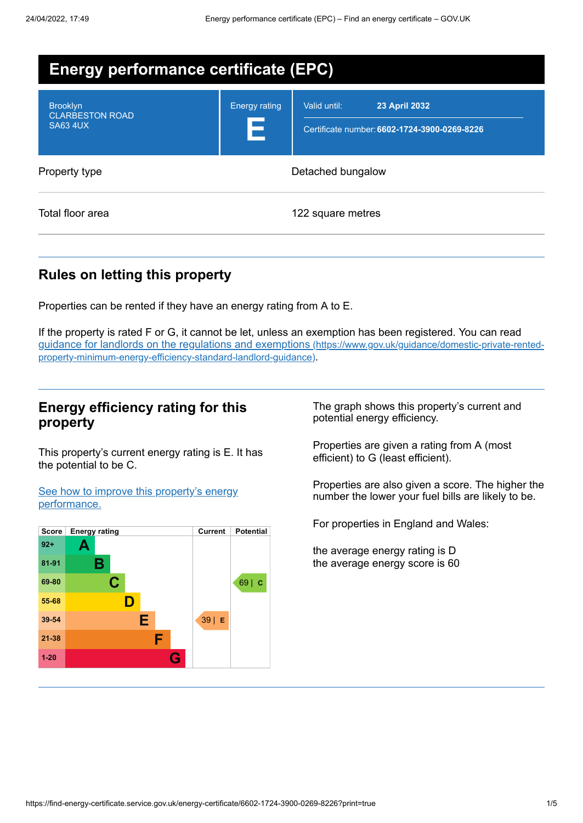| <b>Energy performance certificate (EPC)</b>                  |                           |                                                                                      |  |
|--------------------------------------------------------------|---------------------------|--------------------------------------------------------------------------------------|--|
| <b>Brooklyn</b><br><b>CLARBESTON ROAD</b><br><b>SA63 4UX</b> | <b>Energy rating</b><br>Е | Valid until:<br><b>23 April 2032</b><br>Certificate number: 6602-1724-3900-0269-8226 |  |
| Property type                                                | Detached bungalow         |                                                                                      |  |
| Total floor area                                             |                           | 122 square metres                                                                    |  |

## **Rules on letting this property**

Properties can be rented if they have an energy rating from A to E.

If the property is rated F or G, it cannot be let, unless an exemption has been registered. You can read guidance for landlords on the regulations and exemptions (https://www.gov.uk/guidance/domestic-private-rented[property-minimum-energy-efficiency-standard-landlord-guidance\)](https://www.gov.uk/guidance/domestic-private-rented-property-minimum-energy-efficiency-standard-landlord-guidance).

### **Energy efficiency rating for this property**

This property's current energy rating is E. It has the potential to be C.

See how to improve this property's energy [performance.](#page-2-0)



The graph shows this property's current and potential energy efficiency.

Properties are given a rating from A (most efficient) to G (least efficient).

Properties are also given a score. The higher the number the lower your fuel bills are likely to be.

For properties in England and Wales:

the average energy rating is D the average energy score is 60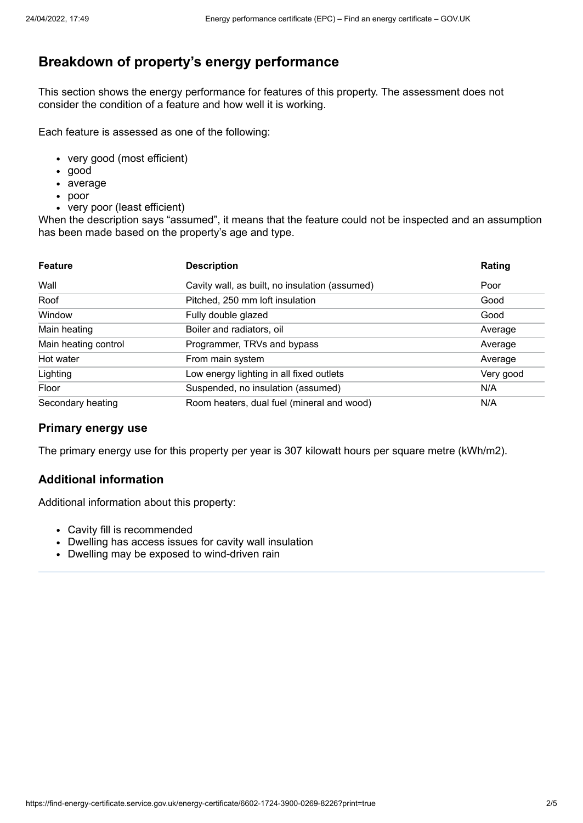## **Breakdown of property's energy performance**

This section shows the energy performance for features of this property. The assessment does not consider the condition of a feature and how well it is working.

Each feature is assessed as one of the following:

- very good (most efficient)
- good
- average
- poor
- very poor (least efficient)

When the description says "assumed", it means that the feature could not be inspected and an assumption has been made based on the property's age and type.

| <b>Feature</b>       | <b>Description</b>                             | Rating    |
|----------------------|------------------------------------------------|-----------|
| Wall                 | Cavity wall, as built, no insulation (assumed) | Poor      |
| Roof                 | Pitched, 250 mm loft insulation                | Good      |
| Window               | Fully double glazed                            | Good      |
| Main heating         | Boiler and radiators, oil                      | Average   |
| Main heating control | Programmer, TRVs and bypass                    | Average   |
| Hot water            | From main system                               | Average   |
| Lighting             | Low energy lighting in all fixed outlets       | Very good |
| Floor                | Suspended, no insulation (assumed)             | N/A       |
| Secondary heating    | Room heaters, dual fuel (mineral and wood)     | N/A       |

#### **Primary energy use**

The primary energy use for this property per year is 307 kilowatt hours per square metre (kWh/m2).

#### **Additional information**

Additional information about this property:

- Cavity fill is recommended
- Dwelling has access issues for cavity wall insulation
- Dwelling may be exposed to wind-driven rain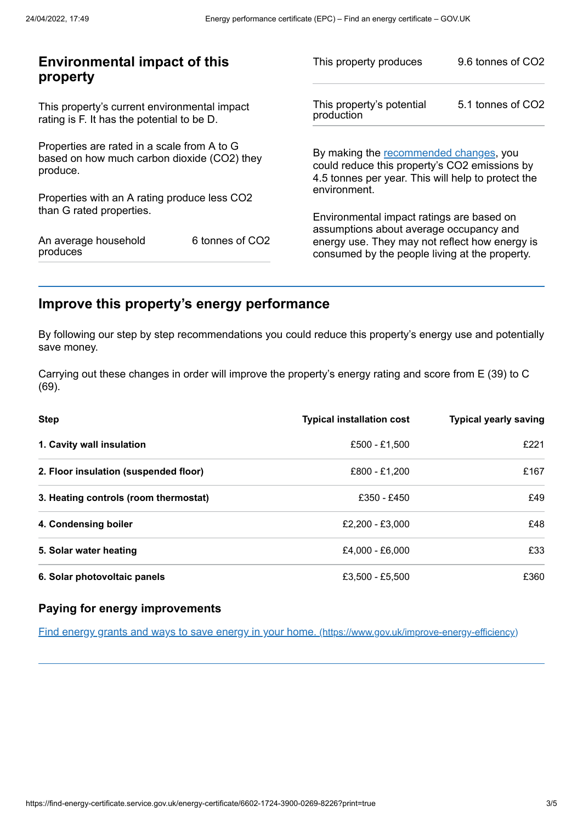| <b>Environmental impact of this</b><br>property                                                        |                                                | 9.6 tonnes of CO2                                                                                                                                                                                                           |  |
|--------------------------------------------------------------------------------------------------------|------------------------------------------------|-----------------------------------------------------------------------------------------------------------------------------------------------------------------------------------------------------------------------------|--|
| This property's current environmental impact<br>rating is F. It has the potential to be D.             |                                                | 5.1 tonnes of CO2                                                                                                                                                                                                           |  |
| Properties are rated in a scale from A to G<br>based on how much carbon dioxide (CO2) they<br>produce. |                                                | By making the recommended changes, you<br>could reduce this property's CO2 emissions by<br>4.5 tonnes per year. This will help to protect the                                                                               |  |
|                                                                                                        |                                                |                                                                                                                                                                                                                             |  |
| 6 tonnes of CO2                                                                                        | consumed by the people living at the property. |                                                                                                                                                                                                                             |  |
|                                                                                                        | Properties with an A rating produce less CO2   | This property produces<br>This property's potential<br>production<br>environment.<br>Environmental impact ratings are based on<br>assumptions about average occupancy and<br>energy use. They may not reflect how energy is |  |

## <span id="page-2-0"></span>**Improve this property's energy performance**

By following our step by step recommendations you could reduce this property's energy use and potentially save money.

Carrying out these changes in order will improve the property's energy rating and score from E (39) to C (69).

| Step                                  | <b>Typical installation cost</b> | <b>Typical yearly saving</b> |
|---------------------------------------|----------------------------------|------------------------------|
| 1. Cavity wall insulation             | £500 - £1,500                    | £221                         |
| 2. Floor insulation (suspended floor) | £800 - £1,200                    | £167                         |
| 3. Heating controls (room thermostat) | £350 - £450                      | £49                          |
| 4. Condensing boiler                  | £2,200 - £3,000                  | £48                          |
| 5. Solar water heating                | £4,000 - £6,000                  | £33                          |
| 6. Solar photovoltaic panels          | £3,500 - £5,500                  | £360                         |

#### **Paying for energy improvements**

Find energy grants and ways to save energy in your home. [\(https://www.gov.uk/improve-energy-efficiency\)](https://www.gov.uk/improve-energy-efficiency)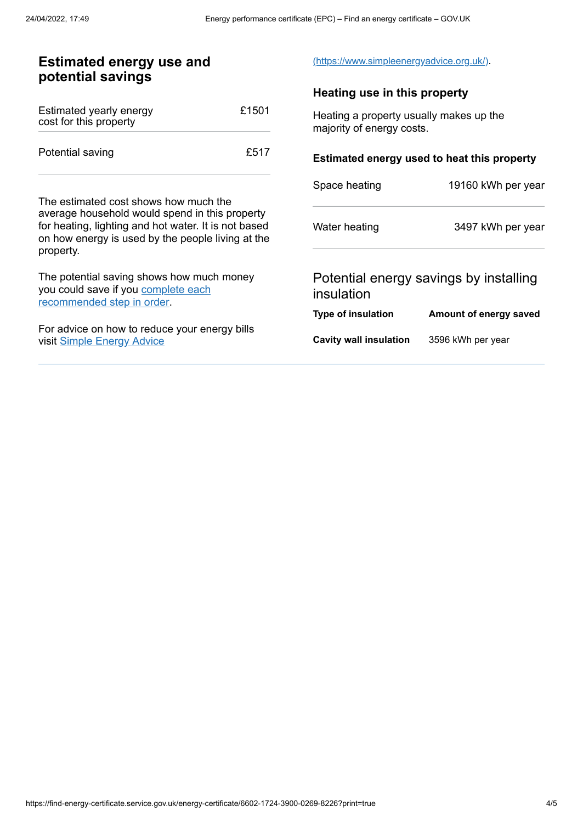| <b>Estimated energy use and</b><br>potential savings                                                                                                                     |       | (https://www.simpleenergyadvice.org.uk/).                            |                        |
|--------------------------------------------------------------------------------------------------------------------------------------------------------------------------|-------|----------------------------------------------------------------------|------------------------|
|                                                                                                                                                                          |       | Heating use in this property                                         |                        |
| Estimated yearly energy<br>cost for this property                                                                                                                        | £1501 | Heating a property usually makes up the<br>majority of energy costs. |                        |
| Potential saving                                                                                                                                                         | £517  | Estimated energy used to heat this property                          |                        |
|                                                                                                                                                                          |       | Space heating                                                        | 19160 kWh per year     |
| The estimated cost shows how much the                                                                                                                                    |       |                                                                      |                        |
| average household would spend in this property<br>for heating, lighting and hot water. It is not based<br>on how energy is used by the people living at the<br>property. |       | Water heating                                                        | 3497 kWh per year      |
| The potential saving shows how much money<br>you could save if you complete each<br>recommended step in order.                                                           |       | Potential energy savings by installing<br>insulation                 |                        |
|                                                                                                                                                                          |       | <b>Type of insulation</b>                                            | Amount of energy saved |
| For advice on how to reduce your energy bills<br>visit Simple Energy Advice                                                                                              |       | <b>Cavity wall insulation</b>                                        | 3596 kWh per year      |
|                                                                                                                                                                          |       |                                                                      |                        |